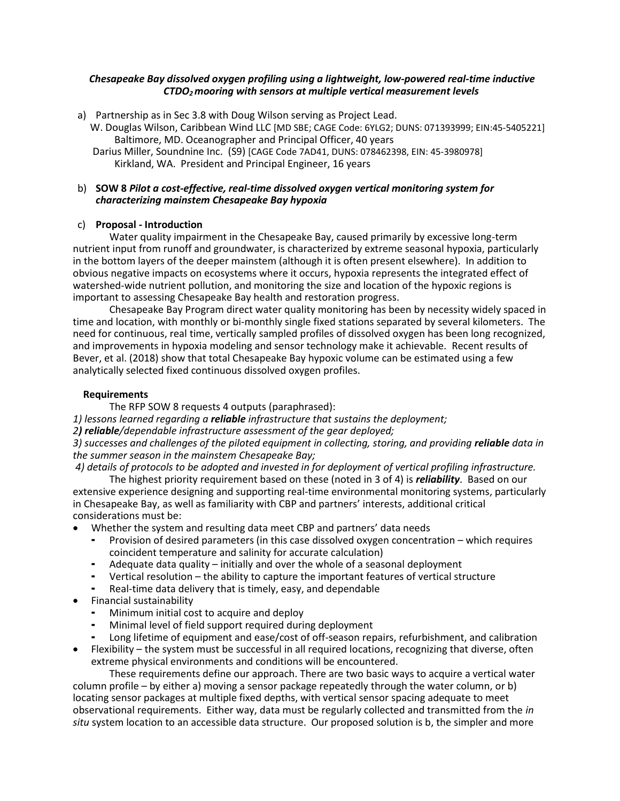#### *Chesapeake Bay dissolved oxygen profiling using a lightweight, low-powered real-time inductive CTDO2 mooring with sensors at multiple vertical measurement levels*

- a) Partnership as in Sec 3.8 with Doug Wilson serving as Project Lead.
	- W. Douglas Wilson, Caribbean Wind LLC [MD SBE; CAGE Code: 6YLG2; DUNS: 071393999; EIN:45-5405221] Baltimore, MD. Oceanographer and Principal Officer, 40 years
	- Darius Miller, Soundnine Inc. (S9) [CAGE Code 7AD41, DUNS: 078462398, EIN: 45-3980978] Kirkland, WA. President and Principal Engineer, 16 years

#### b) **SOW 8** *Pilot a cost-effective, real-time dissolved oxygen vertical monitoring system for characterizing mainstem Chesapeake Bay hypoxia*

# c) **Proposal - Introduction**

Water quality impairment in the Chesapeake Bay, caused primarily by excessive long-term nutrient input from runoff and groundwater, is characterized by extreme seasonal hypoxia, particularly in the bottom layers of the deeper mainstem (although it is often present elsewhere). In addition to obvious negative impacts on ecosystems where it occurs, hypoxia represents the integrated effect of watershed-wide nutrient pollution, and monitoring the size and location of the hypoxic regions is important to assessing Chesapeake Bay health and restoration progress.

Chesapeake Bay Program direct water quality monitoring has been by necessity widely spaced in time and location, with monthly or bi-monthly single fixed stations separated by several kilometers. The need for continuous, real time, vertically sampled profiles of dissolved oxygen has been long recognized, and improvements in hypoxia modeling and sensor technology make it achievable. Recent results of Bever, et al. (2018) show that total Chesapeake Bay hypoxic volume can be estimated using a few analytically selected fixed continuous dissolved oxygen profiles.

# **Requirements**

The RFP SOW 8 requests 4 outputs (paraphrased):

*1) lessons learned regarding a reliable infrastructure that sustains the deployment;* 

# *2) reliable/dependable infrastructure assessment of the gear deployed;*

*3) successes and challenges of the piloted equipment in collecting, storing, and providing <i>reliable* data in *the summer season in the mainstem Chesapeake Bay;* 

*4) details of protocols to be adopted and invested in for deployment of vertical profiling infrastructure.* The highest priority requirement based on these (noted in 3 of 4) is *reliability*. Based on our

extensive experience designing and supporting real-time environmental monitoring systems, particularly in Chesapeake Bay, as well as familiarity with CBP and partners' interests, additional critical considerations must be:

- Whether the system and resulting data meet CBP and partners' data needs
	- Provision of desired parameters (in this case dissolved oxygen concentration which requires coincident temperature and salinity for accurate calculation)
	- ⁃ Adequate data quality initially and over the whole of a seasonal deployment
	- Vertical resolution the ability to capture the important features of vertical structure
	- ⁃ Real-time data delivery that is timely, easy, and dependable
- Financial sustainability
	- Minimum initial cost to acquire and deploy
	- Minimal level of field support required during deployment
	- ⁃ Long lifetime of equipment and ease/cost of off-season repairs, refurbishment, and calibration
- Flexibility the system must be successful in all required locations, recognizing that diverse, often extreme physical environments and conditions will be encountered.

These requirements define our approach. There are two basic ways to acquire a vertical water column profile – by either a) moving a sensor package repeatedly through the water column, or b) locating sensor packages at multiple fixed depths, with vertical sensor spacing adequate to meet observational requirements. Either way, data must be regularly collected and transmitted from the *in situ* system location to an accessible data structure. Our proposed solution is b, the simpler and more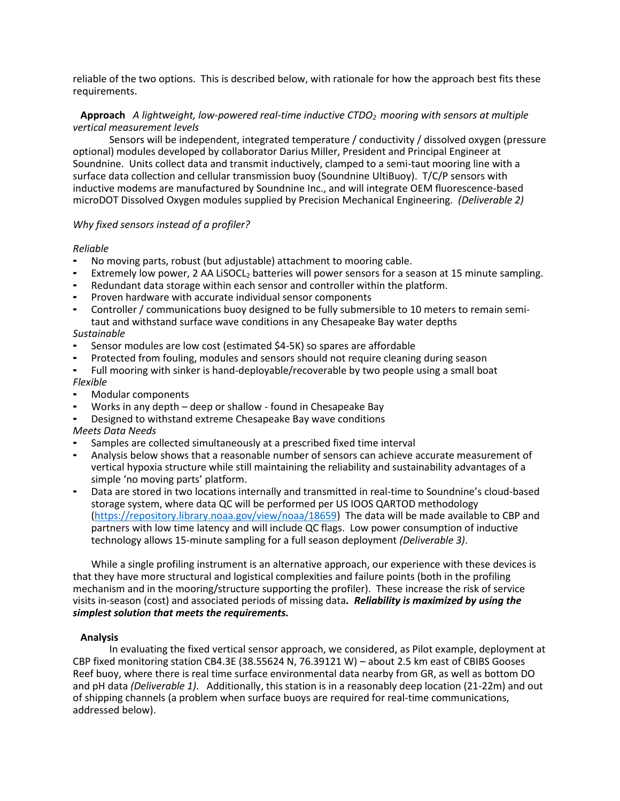reliable of the two options. This is described below, with rationale for how the approach best fits these requirements.

#### **Approach** *A lightweight, low-powered real-time inductive CTDO2 mooring with sensors at multiple vertical measurement levels*

Sensors will be independent, integrated temperature / conductivity / dissolved oxygen (pressure optional) modules developed by collaborator Darius Miller, President and Principal Engineer at Soundnine. Units collect data and transmit inductively, clamped to a semi-taut mooring line with a surface data collection and cellular transmission buoy (Soundnine UltiBuoy). T/C/P sensors with inductive modems are manufactured by Soundnine Inc., and will integrate OEM fluorescence-based microDOT Dissolved Oxygen modules supplied by Precision Mechanical Engineering. *(Deliverable 2)*

# *Why fixed sensors instead of a profiler?*

#### *Reliable*

- No moving parts, robust (but adjustable) attachment to mooring cable.
- Extremely low power, 2 AA LiSOCL<sub>2</sub> batteries will power sensors for a season at 15 minute sampling.
- Redundant data storage within each sensor and controller within the platform.
- Proven hardware with accurate individual sensor components
- Controller / communications buoy designed to be fully submersible to 10 meters to remain semitaut and withstand surface wave conditions in any Chesapeake Bay water depths

# *Sustainable*

- Sensor modules are low cost (estimated \$4-5K) so spares are affordable
- Protected from fouling, modules and sensors should not require cleaning during season
- ⁃ Full mooring with sinker is hand-deployable/recoverable by two people using a small boat *Flexible*
- Modular components
- Works in any depth deep or shallow found in Chesapeake Bay
- Designed to withstand extreme Chesapeake Bay wave conditions

# *Meets Data Needs*

- Samples are collected simultaneously at a prescribed fixed time interval
- Analysis below shows that a reasonable number of sensors can achieve accurate measurement of vertical hypoxia structure while still maintaining the reliability and sustainability advantages of a simple 'no moving parts' platform.
- Data are stored in two locations internally and transmitted in real-time to Soundnine's cloud-based storage system, where data QC will be performed per US IOOS QARTOD methodology [\(https://repository.library.noaa.gov/view/noaa/18659\)](https://repository.library.noaa.gov/view/noaa/18659) The data will be made available to CBP and partners with low time latency and will include QC flags. Low power consumption of inductive technology allows 15-minute sampling for a full season deployment *(Deliverable 3)*.

While a single profiling instrument is an alternative approach, our experience with these devices is that they have more structural and logistical complexities and failure points (both in the profiling mechanism and in the mooring/structure supporting the profiler). These increase the risk of service visits in-season (cost) and associated periods of missing data*. Reliability is maximized by using the simplest solution that meets the requirements.*

#### **Analysis**

In evaluating the fixed vertical sensor approach, we considered, as Pilot example, deployment at CBP fixed monitoring station CB4.3E (38.55624 N, 76.39121 W) – about 2.5 km east of CBIBS Gooses Reef buoy, where there is real time surface environmental data nearby from GR, as well as bottom DO and pH data *(Deliverable 1)*. Additionally, this station is in a reasonably deep location (21-22m) and out of shipping channels (a problem when surface buoys are required for real-time communications, addressed below).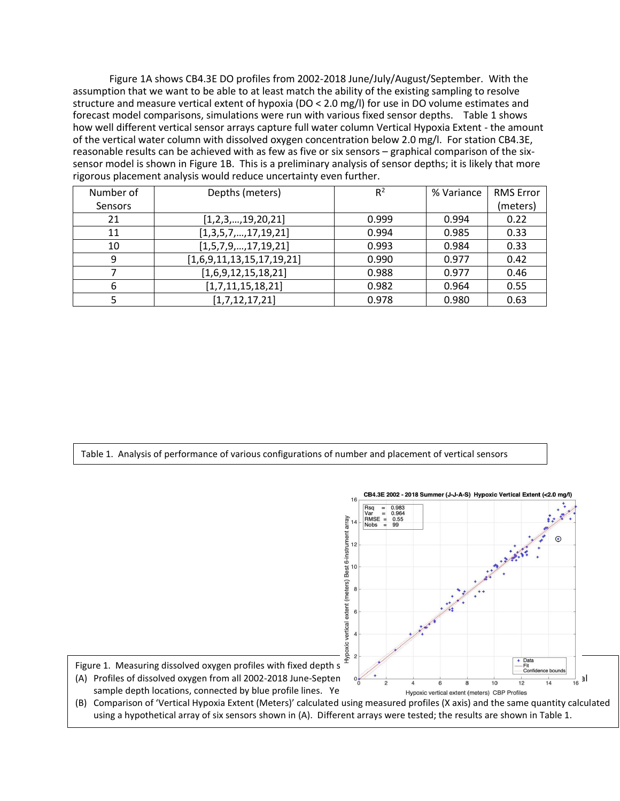Figure 1A shows CB4.3E DO profiles from 2002-2018 June/July/August/September. With the assumption that we want to be able to at least match the ability of the existing sampling to resolve structure and measure vertical extent of hypoxia (DO < 2.0 mg/l) for use in DO volume estimates and forecast model comparisons, simulations were run with various fixed sensor depths. Table 1 shows how well different vertical sensor arrays capture full water column Vertical Hypoxia Extent - the amount of the vertical water column with dissolved oxygen concentration below 2.0 mg/l. For station CB4.3E, reasonable results can be achieved with as few as five or six sensors – graphical comparison of the sixsensor model is shown in Figure 1B. This is a preliminary analysis of sensor depths; it is likely that more rigorous placement analysis would reduce uncertainty even further.

| Number of | Depths (meters)           | $R^2$ | % Variance | <b>RMS Error</b> |
|-----------|---------------------------|-------|------------|------------------|
| Sensors   |                           |       |            | (meters)         |
| 21        | [1,2,3,,19,20,21]         | 0.999 | 0.994      | 0.22             |
| 11        | [1,3,5,7,,17,19,21]       | 0.994 | 0.985      | 0.33             |
| 10        | [1,5,7,9,,17,19,21]       | 0.993 | 0.984      | 0.33             |
| 9         | [1,6,9,11,13,15,17,19,21] | 0.990 | 0.977      | 0.42             |
|           | [1,6,9,12,15,18,21]       | 0.988 | 0.977      | 0.46             |
| 6         | [1,7,11,15,18,21]         | 0.982 | 0.964      | 0.55             |
|           | [1,7,12,17,21]            | 0.978 | 0.980      | 0.63             |

Table 1. Analysis of performance of various configurations of number and placement of vertical sensors

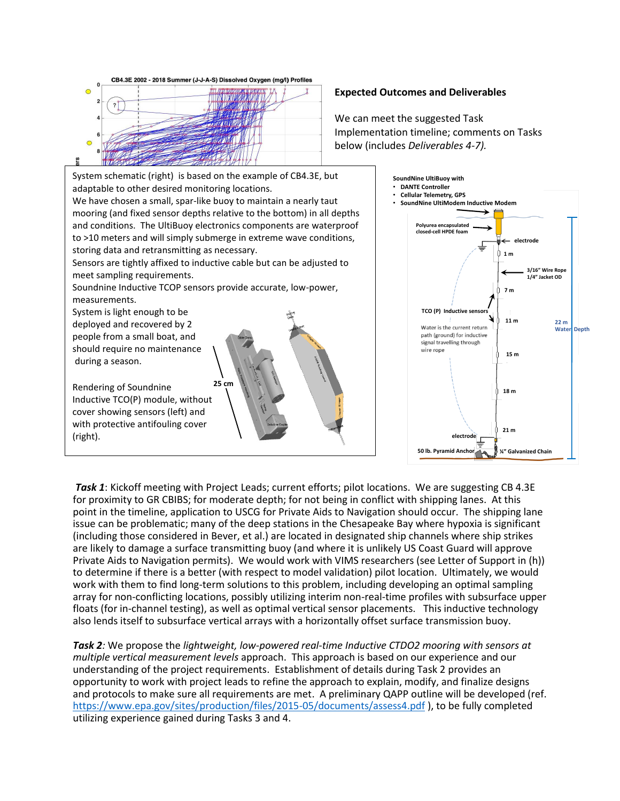

Rendering of Soundnine Inductive TCO(P) module, without cover showing sensors (left) and with protective antifouling cover (right). **25 cm**

**electrode 1 m 3/16" Wire Rope 1/4" Jacket OD 7 m TCO** (P) Inductive se **11 m 22 m** Water is the current return **Water Depth** path (ground) for inductive signal travelling through wire rope **15 m 18 m 21 m electrode**

**50 lb. Pyramid Anchor ¼" Galvanized Chain**

**Polyurea encapsulated closed-cell HPDE foam**

• **SoundNine UltiModem Inductive Modem**

**SoundNine UltiBuoy with** • **DANTE Controller** • **Cellular Telemetry, GPS**

*Task 1*: Kickoff meeting with Project Leads; current efforts; pilot locations. We are suggesting CB 4.3E for proximity to GR CBIBS; for moderate depth; for not being in conflict with shipping lanes. At this point in the timeline, application to USCG for Private Aids to Navigation should occur. The shipping lane issue can be problematic; many of the deep stations in the Chesapeake Bay where hypoxia is significant (including those considered in Bever, et al.) are located in designated ship channels where ship strikes are likely to damage a surface transmitting buoy (and where it is unlikely US Coast Guard will approve Private Aids to Navigation permits). We would work with VIMS researchers (see Letter of Support in (h)) to determine if there is a better (with respect to model validation) pilot location. Ultimately, we would work with them to find long-term solutions to this problem, including developing an optimal sampling array for non-conflicting locations, possibly utilizing interim non-real-time profiles with subsurface upper floats (for in-channel testing), as well as optimal vertical sensor placements. This inductive technology also lends itself to subsurface vertical arrays with a horizontally offset surface transmission buoy.

*Task 2:* We propose the *lightweight, low-powered real-time Inductive CTDO2 mooring with sensors at multiple vertical measurement levels* approach. This approach is based on our experience and our understanding of the project requirements. Establishment of details during Task 2 provides an opportunity to work with project leads to refine the approach to explain, modify, and finalize designs and protocols to make sure all requirements are met. A preliminary QAPP outline will be developed (ref. <https://www.epa.gov/sites/production/files/2015-05/documents/assess4.pdf> ), to be fully completed utilizing experience gained during Tasks 3 and 4.